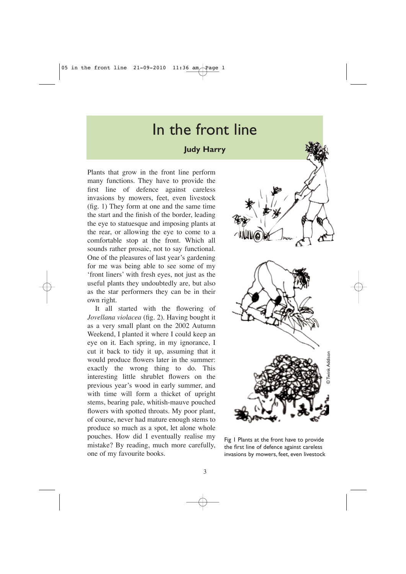## In the front line

## **Judy Harry**

Plants that grow in the front line perform many functions. They have to provide the first line of defence against careless invasions by mowers, feet, even livestock (fig. 1) They form at one and the same time the start and the finish of the border, leading the eye to statuesque and imposing plants at the rear, or allowing the eye to come to a comfortable stop at the front. Which all sounds rather prosaic, not to say functional. One of the pleasures of last year's gardening for me was being able to see some of my 'front liners' with fresh eyes, not just as the useful plants they undoubtedly are, but also as the star performers they can be in their own right.

It all started with the flowering of *Jovellana violacea* (fig. 2). Having bought it as a very small plant on the 2002 Autumn Weekend, I planted it where I could keep an eye on it. Each spring, in my ignorance, I cut it back to tidy it up, assuming that it would produce flowers later in the summer: exactly the wrong thing to do. This interesting little shrublet flowers on the previous year's wood in early summer, and with time will form a thicket of upright stems, bearing pale, whitish-mauve pouched flowers with spotted throats. My poor plant, of course, never had mature enough stems to produce so much as a spot, let alone whole pouches. How did I eventually realise my mistake? By reading, much more carefully, one of my favourite books.



Fig 1 Plants at the front have to provide the first line of defence against careless invasions by mowers, feet, even livestock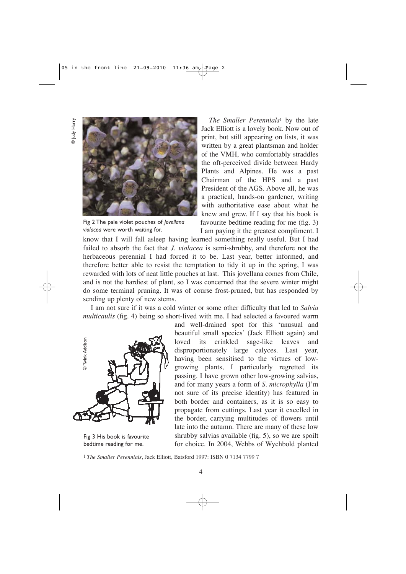© Judy Harry O Judy Harry



Fig 2 The pale violet pouches of *Jovellana violacea* were worth waiting for.

*The Smaller Perennials*<sup>1</sup> by the late Jack Elliott is a lovely book. Now out of print, but still appearing on lists, it was written by a great plantsman and holder of the VMH, who comfortably straddles the oft-perceived divide between Hardy Plants and Alpines. He was a past Chairman of the HPS and a past President of the AGS. Above all, he was a practical, hands-on gardener, writing with authoritative ease about what he knew and grew. If I say that his book is favourite bedtime reading for me (fig. 3) I am paying it the greatest compliment. I

know that I will fall asleep having learned something really useful. But I had failed to absorb the fact that *J. violacea* is semi-shrubby, and therefore not the herbaceous perennial I had forced it to be. Last year, better informed, and therefore better able to resist the temptation to tidy it up in the spring, I was rewarded with lots of neat little pouches at last. This jovellana comes from Chile, and is not the hardiest of plant, so I was concerned that the severe winter might do some terminal pruning. It was of course frost-pruned, but has responded by sending up plenty of new stems.

I am not sure if it was a cold winter or some other difficulty that led to *Salvia multicaulis* (fig. 4) being so short-lived with me. I had selected a favoured warm



Fig 3 His book is favourite bedtime reading for me.

and well-drained spot for this 'unusual and beautiful small species' (Jack Elliott again) and loved its crinkled sage-like leaves and disproportionately large calyces. Last year, having been sensitised to the virtues of lowgrowing plants, I particularly regretted its passing. I have grown other low-growing salvias, and for many years a form of *S. microphylla* (I'm not sure of its precise identity) has featured in both border and containers, as it is so easy to propagate from cuttings. Last year it excelled in the border, carrying multitudes of flowers until late into the autumn. There are many of these low shrubby salvias available (fig. 5), so we are spoilt for choice. In 2004, Webbs of Wychbold planted <sup>1</sup> The Smaller Perennials, Jack Elliott, Batsford 1997: ISBN 0 7134 7799 7<br>
1 *The Smaller Perennials*, Jack Elliott, Batsford 1997: ISBN 0 7134 7799 7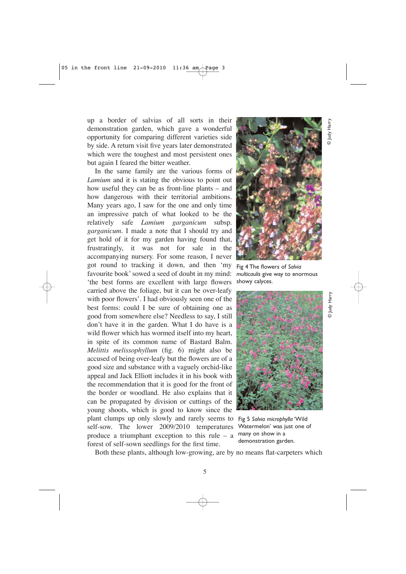up a border of salvias of all sorts in their demonstration garden, which gave a wonderful opportunity for comparing different varieties side by side. A return visit five years later demonstrated which were the toughest and most persistent ones but again I feared the bitter weather.

In the same family are the various forms of *Lamium* and it is stating the obvious to point out how useful they can be as front-line plants – and how dangerous with their territorial ambitions. Many years ago, I saw for the one and only time an impressive patch of what looked to be the relatively safe *Lamium garganicum* subsp. *garganicum*. I made a note that I should try and get hold of it for my garden having found that, frustratingly, it was not for sale in the accompanying nursery. For some reason, I never got round to tracking it down, and then 'my favourite book' sowed a seed of doubt in my mind: 'the best forms are excellent with large flowers carried above the foliage, but it can be over-leafy with poor flowers'. I had obviously seen one of the best forms: could I be sure of obtaining one as good from somewhere else? Needless to say, I still don't have it in the garden. What I do have is a wild flower which has wormed itself into my heart, in spite of its common name of Bastard Balm. *Melittis melissophyllum* (fig. 6) might also be accused of being over-leafy but the flowers are of a good size and substance with a vaguely orchid-like appeal and Jack Elliott includes it in his book with the recommendation that it is good for the front of the border or woodland. He also explains that it can be propagated by division or cuttings of the young shoots, which is good to know since the plant clumps up only slowly and rarely seems to self-sow. The lower 2009/2010 temperatures produce a triumphant exception to this rule – a forest of self-sown seedlings for the first time.



 $^{\sim}$ ludi Andro Harry © Judy Harry © Judy Harry © Judy Harry © Judy Harry © Judy Harry 20

O Judy Harr

⊙ Јифу Наггу

Fig 4 The flowers of *Salvia multicaulis* give way to enormous showy calyces.



Fig 5 *Salvia microphylla* 'Wild Watermelon' was just one of many on show in a demonstration garden.

Both these plants, although low-growing, are by no means flat-carpeters which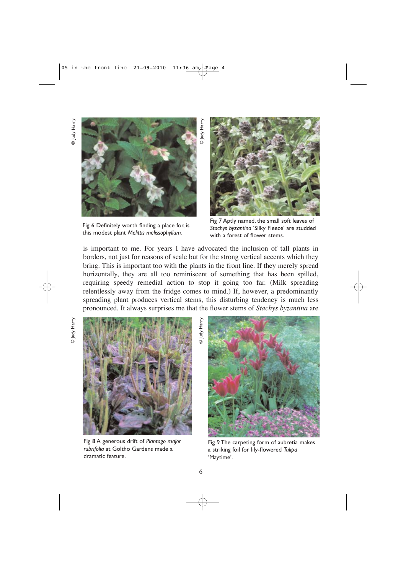© Judy Harry o Judy Harry



Fig 6 Definitely worth finding a place for, is this modest plant *Melittis melissophyllum.*



Fig 7 Aptly named, the small soft leaves of *Stachys byzantina* 'Silky Fleece' are studded with a forest of flower stems.

is important to me. For years I have advocated the inclusion of tall plants in borders, not just for reasons of scale but for the strong vertical accents which they bring. This is important too with the plants in the front line. If they merely spread horizontally, they are all too reminiscent of something that has been spilled, requiring speedy remedial action to stop it going too far. (Milk spreading relentlessly away from the fridge comes to mind.) If, however, a predominantly spreading plant produces vertical stems, this disturbing tendency is much less pronounced. It always surprises me that the flower stems of *Stachys byzantina* are

© Judy Harry

D Judy Harr

⊙ Јифу Наггу © Judy Harry



Fig 8 A generous drift of *Plantago major rubrifolia* at Goltho Gardens made a dramatic feature.



Fig 9 The carpeting form of aubretia makes a striking foil for lily-flowered *Tulipa* 'Maytime'.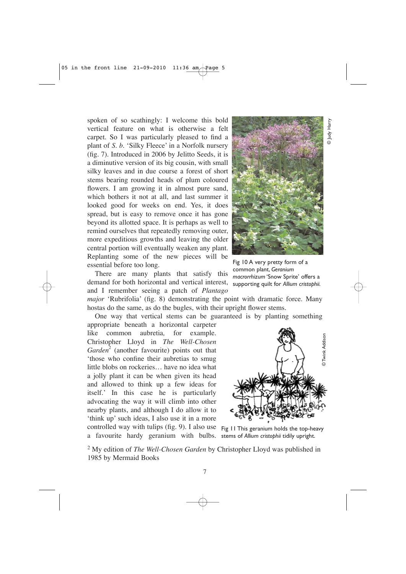spoken of so scathingly: I welcome this bold vertical feature on what is otherwise a felt carpet. So I was particularly pleased to find a plant of *S. b.* 'Silky Fleece' in a Norfolk nursery (fig. 7). Introduced in 2006 by Jelitto Seeds, it is a diminutive version of its big cousin, with small silky leaves and in due course a forest of short stems bearing rounded heads of plum coloured flowers. I am growing it in almost pure sand, which bothers it not at all, and last summer it looked good for weeks on end. Yes, it does spread, but is easy to remove once it has gone beyond its allotted space. It is perhaps as well to remind ourselves that repeatedly removing outer, more expeditious growths and leaving the older central portion will eventually weaken any plant. Replanting some of the new pieces will be essential before too long.



There are many plants that satisfy this demand for both horizontal and vertical interest, and I remember seeing a patch of *Plantago*

Fig 10 A very pretty form of a common plant, *Geranium macrorrhizum* 'Snow Sprite' offers a supporting quilt for *Allium cristophii.*

*major* 'Rubrifolia' (fig. 8) demonstrating the point with dramatic force. Many hostas do the same, as do the bugles, with their upright flower stems.

One way that vertical stems can be guaranteed is by planting something

appropriate beneath a horizontal carpeter like common aubretia*,* for example. Christopher Lloyd in *The Well-Chosen Garden*<sup>2</sup> (another favourite) points out that 'those who confine their aubretias to smug little blobs on rockeries… have no idea what a jolly plant it can be when given its head and allowed to think up a few ideas for itself.' In this case he is particularly advocating the way it will climb into other nearby plants, and although I do allow it to 'think up' such ideas, I also use it in a more controlled way with tulips (fig. 9). I also use Fig 11 This geranium holds the top-heavy a favourite hardy geranium with bulbs. stems of *Allium cristophii* tidily upright.



<sup>2</sup> My edition of *The Well-Chosen Garden* by Christopher Lloyd was published in 1985 by Mermaid Books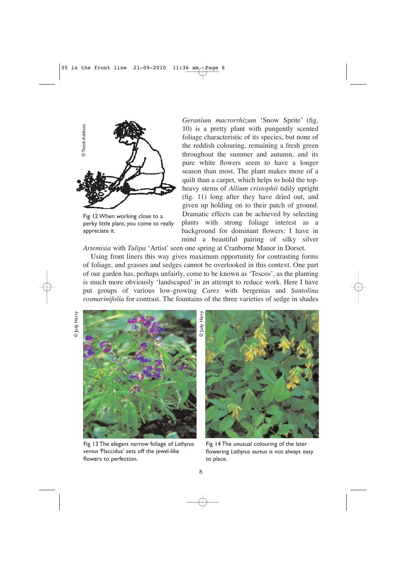

Fig 12 When working close to a perky little plant, you come to really appreciate it.

*Geranium macrorrhizum* 'Snow Sprite' (fig. 10) is a pretty plant with pungently scented foliage characteristic of its species, but none of the reddish colouring, remaining a fresh green throughout the summer and autumn, and its pure white flowers seem to have a longer season than most*.* The plant makes more of a quilt than a carpet, which helps to hold the topheavy stems of *Allium cristophii* tidily upright (fig. 11) long after they have dried out, and given up holding on to their patch of ground. Dramatic effects can be achieved by selecting plants with strong foliage interest as a background for dominant flowers: I have in mind a beautiful pairing of silky silver

*Artemisia* with *Tulipa* 'Artist' seen one spring at Cranborne Manor in Dorset.

Using front liners this way gives maximum opportunity for contrasting forms of foliage, and grasses and sedges cannot be overlooked in this context. One part of our garden has, perhaps unfairly, come to be known as 'Tescos', as the planting is much more obviously 'landscaped' in an attempt to reduce work. Here I have put groups of various low-growing *Carex* with bergenias and *Santolina rosmarinifolia* for contrast. The fountains of the three varieties of sedge in shades

© Judy Harry © Judy Harry



Fig 13 The elegant narrow foliage of *Lathyrus vernus '*Flaccidus' sets off the jewel-like flowers to perfection.



Fig 14 The unusual colouring of the later flowering *Lathyrus aureus* is not always easy to place.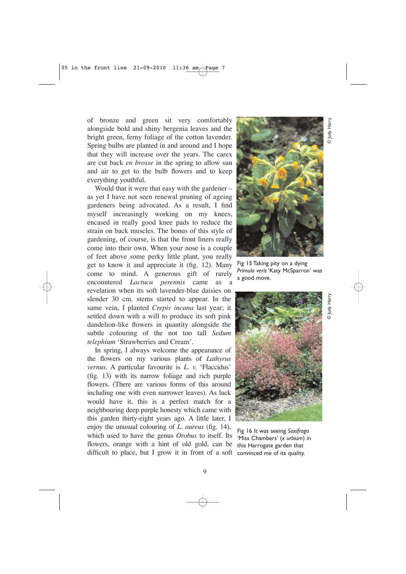of bronze and green sit very comfortably alongside bold and shiny bergenia leaves and the bright green, ferny foliage of the cotton lavender. Spring bulbs are planted in and around and I hope that they will increase over the years. The carex are cut back *en brosse* in the spring to allow sun and air to get to the bulb flowers and to keep everything youthful.

Would that it were that easy with the gardener – as yet I have not seen renewal pruning of ageing gardeners being advocated. As a result, I find myself increasingly working on my knees, encased in really good knee pads to reduce the strain on back muscles. The bonus of this style of gardening, of course, is that the front liners really come into their own. When your nose is a couple of feet above some perky little plant, you really get to know it and appreciate it (fig. 12). Many come to mind. A generous gift of rarely encountered *Lactuca perennis* came as a revelation when its soft lavender-blue daisies on slender 30 cm. stems started to appear. In the same vein, I planted *Crepis incana* last year; it settled down with a will to produce its soft pink dandelion-like flowers in quantity alongside the subtle colouring of the not too tall *Sedum telephium* 'Strawberries and Cream'.

In spring, I always welcome the appearance of the flowers on my various plants of *Lathyrus vernus*. A particular favourite is *L. v.* 'Flaccidus' (fig. 13) with its narrow foliage and rich purple flowers. (There are various forms of this around including one with even narrower leaves). As luck would have it, this is a perfect match for a neighbouring deep purple honesty which came with this garden thirty-eight years ago. A little later, I enjoy the unusual colouring of *L. aureus* (fig. 14), which used to have the genus *Orobus* to itself. Its flowers, orange with a hint of old gold, can be difficult to place, but I grow it in front of a soft convinced me of its quality.



© Judy Harry

ludy Harry

© Judy Harry

o Judy Harr

Fig 15 Taking pity on a dying *Primula veris* 'Katy McSparron' was a good move.



Fig 16 It was seeing *Saxifraga* 'Miss Chambers' (*x urbium*) in this Harrogate garden that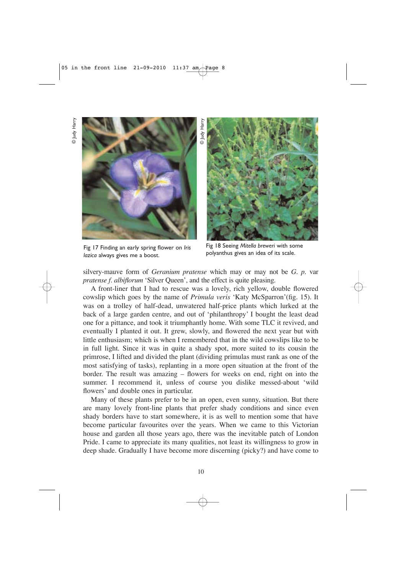© Judy Harry © Judy Harr)



Fig 17 Finding an early spring flower on *Iris lazica* always gives me a boost.



Fig 18 Seeing *Mitella breweri* with some polyanthus gives an idea of its scale.

silvery-mauve form of *Geranium pratense* which may or may not be *G. p*. var *pratense f. albiflorum* 'Silver Queen', and the effect is quite pleasing.

A front-liner that I had to rescue was a lovely, rich yellow, double flowered cowslip which goes by the name of *Primula veris* 'Katy McSparron'(fig. 15). It was on a trolley of half-dead, unwatered half-price plants which lurked at the back of a large garden centre, and out of 'philanthropy' I bought the least dead one for a pittance, and took it triumphantly home. With some TLC it revived, and eventually I planted it out. It grew, slowly, and flowered the next year but with little enthusiasm; which is when I remembered that in the wild cowslips like to be in full light. Since it was in quite a shady spot, more suited to its cousin the primrose, I lifted and divided the plant (dividing primulas must rank as one of the most satisfying of tasks), replanting in a more open situation at the front of the border. The result was amazing – flowers for weeks on end, right on into the summer. I recommend it, unless of course you dislike messed-about 'wild flowers' and double ones in particular.

Many of these plants prefer to be in an open, even sunny, situation. But there are many lovely front-line plants that prefer shady conditions and since even shady borders have to start somewhere, it is as well to mention some that have become particular favourites over the years. When we came to this Victorian house and garden all those years ago, there was the inevitable patch of London Pride. I came to appreciate its many qualities, not least its willingness to grow in deep shade. Gradually I have become more discerning (picky?) and have come to